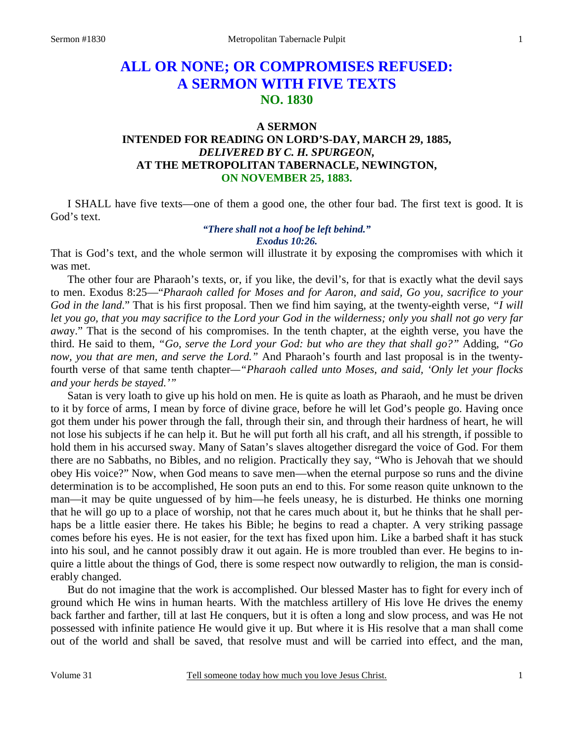# **ALL OR NONE; OR COMPROMISES REFUSED: A SERMON WITH FIVE TEXTS NO. 1830**

## **A SERMON**

## **INTENDED FOR READING ON LORD'S-DAY, MARCH 29, 1885,** *DELIVERED BY C. H. SPURGEON,*  **AT THE METROPOLITAN TABERNACLE, NEWINGTON, ON NOVEMBER 25, 1883.**

I SHALL have five texts—one of them a good one, the other four bad. The first text is good. It is God's text.

#### *"There shall not a hoof be left behind." Exodus 10:26.*

That is God's text, and the whole sermon will illustrate it by exposing the compromises with which it was met.

 The other four are Pharaoh's texts, or, if you like, the devil's, for that is exactly what the devil says to men. Exodus 8:25—"*Pharaoh called for Moses and for Aaron, and said, Go you, sacrifice to your God in the land*." That is his first proposal. Then we find him saying, at the twenty-eighth verse, *"I will let you go, that you may sacrifice to the Lord your God in the wilderness; only you shall not go very far awa*y." That is the second of his compromises. In the tenth chapter, at the eighth verse, you have the third. He said to them, *"Go, serve the Lord your God: but who are they that shall go?"* Adding, *"Go now, you that are men, and serve the Lord."* And Pharaoh's fourth and last proposal is in the twentyfourth verse of that same tenth chapter*—"Pharaoh called unto Moses, and said, 'Only let your flocks and your herds be stayed.'"*

 Satan is very loath to give up his hold on men. He is quite as loath as Pharaoh, and he must be driven to it by force of arms, I mean by force of divine grace, before he will let God's people go. Having once got them under his power through the fall, through their sin, and through their hardness of heart, he will not lose his subjects if he can help it. But he will put forth all his craft, and all his strength, if possible to hold them in his accursed sway. Many of Satan's slaves altogether disregard the voice of God. For them there are no Sabbaths, no Bibles, and no religion. Practically they say, "Who is Jehovah that we should obey His voice?" Now, when God means to save men—when the eternal purpose so runs and the divine determination is to be accomplished, He soon puts an end to this. For some reason quite unknown to the man—it may be quite unguessed of by him—he feels uneasy, he is disturbed. He thinks one morning that he will go up to a place of worship, not that he cares much about it, but he thinks that he shall perhaps be a little easier there. He takes his Bible; he begins to read a chapter. A very striking passage comes before his eyes. He is not easier, for the text has fixed upon him. Like a barbed shaft it has stuck into his soul, and he cannot possibly draw it out again. He is more troubled than ever. He begins to inquire a little about the things of God, there is some respect now outwardly to religion, the man is considerably changed.

 But do not imagine that the work is accomplished. Our blessed Master has to fight for every inch of ground which He wins in human hearts. With the matchless artillery of His love He drives the enemy back farther and farther, till at last He conquers, but it is often a long and slow process, and was He not possessed with infinite patience He would give it up. But where it is His resolve that a man shall come out of the world and shall be saved, that resolve must and will be carried into effect, and the man,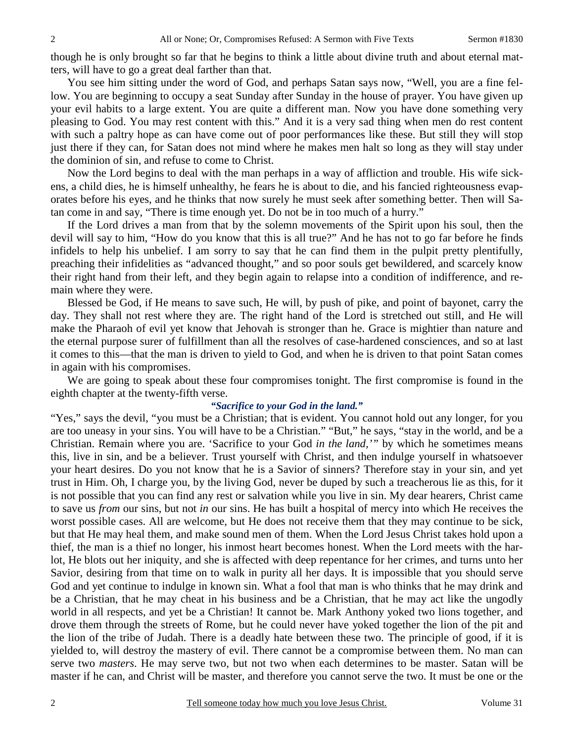though he is only brought so far that he begins to think a little about divine truth and about eternal matters, will have to go a great deal farther than that.

 You see him sitting under the word of God, and perhaps Satan says now, "Well, you are a fine fellow. You are beginning to occupy a seat Sunday after Sunday in the house of prayer. You have given up your evil habits to a large extent. You are quite a different man. Now you have done something very pleasing to God. You may rest content with this." And it is a very sad thing when men do rest content with such a paltry hope as can have come out of poor performances like these. But still they will stop just there if they can, for Satan does not mind where he makes men halt so long as they will stay under the dominion of sin, and refuse to come to Christ.

 Now the Lord begins to deal with the man perhaps in a way of affliction and trouble. His wife sickens, a child dies, he is himself unhealthy, he fears he is about to die, and his fancied righteousness evaporates before his eyes, and he thinks that now surely he must seek after something better. Then will Satan come in and say, "There is time enough yet. Do not be in too much of a hurry."

 If the Lord drives a man from that by the solemn movements of the Spirit upon his soul, then the devil will say to him, "How do you know that this is all true?" And he has not to go far before he finds infidels to help his unbelief. I am sorry to say that he can find them in the pulpit pretty plentifully, preaching their infidelities as "advanced thought," and so poor souls get bewildered, and scarcely know their right hand from their left, and they begin again to relapse into a condition of indifference, and remain where they were.

 Blessed be God, if He means to save such, He will, by push of pike, and point of bayonet, carry the day. They shall not rest where they are. The right hand of the Lord is stretched out still, and He will make the Pharaoh of evil yet know that Jehovah is stronger than he. Grace is mightier than nature and the eternal purpose surer of fulfillment than all the resolves of case-hardened consciences, and so at last it comes to this—that the man is driven to yield to God, and when he is driven to that point Satan comes in again with his compromises.

 We are going to speak about these four compromises tonight. The first compromise is found in the eighth chapter at the twenty-fifth verse.

#### *"Sacrifice to your God in the land."*

"Yes," says the devil, "you must be a Christian; that is evident. You cannot hold out any longer, for you are too uneasy in your sins. You will have to be a Christian." "But," he says, "stay in the world, and be a Christian. Remain where you are. 'Sacrifice to your God *in the land,'"* by which he sometimes means this, live in sin, and be a believer. Trust yourself with Christ, and then indulge yourself in whatsoever your heart desires. Do you not know that he is a Savior of sinners? Therefore stay in your sin, and yet trust in Him. Oh, I charge you, by the living God, never be duped by such a treacherous lie as this, for it is not possible that you can find any rest or salvation while you live in sin. My dear hearers, Christ came to save us *from* our sins, but not *in* our sins. He has built a hospital of mercy into which He receives the worst possible cases. All are welcome, but He does not receive them that they may continue to be sick, but that He may heal them, and make sound men of them. When the Lord Jesus Christ takes hold upon a thief, the man is a thief no longer, his inmost heart becomes honest. When the Lord meets with the harlot, He blots out her iniquity, and she is affected with deep repentance for her crimes, and turns unto her Savior, desiring from that time on to walk in purity all her days. It is impossible that you should serve God and yet continue to indulge in known sin. What a fool that man is who thinks that he may drink and be a Christian, that he may cheat in his business and be a Christian, that he may act like the ungodly world in all respects, and yet be a Christian! It cannot be. Mark Anthony yoked two lions together, and drove them through the streets of Rome, but he could never have yoked together the lion of the pit and the lion of the tribe of Judah. There is a deadly hate between these two. The principle of good, if it is yielded to, will destroy the mastery of evil. There cannot be a compromise between them. No man can serve two *masters*. He may serve two, but not two when each determines to be master. Satan will be master if he can, and Christ will be master, and therefore you cannot serve the two. It must be one or the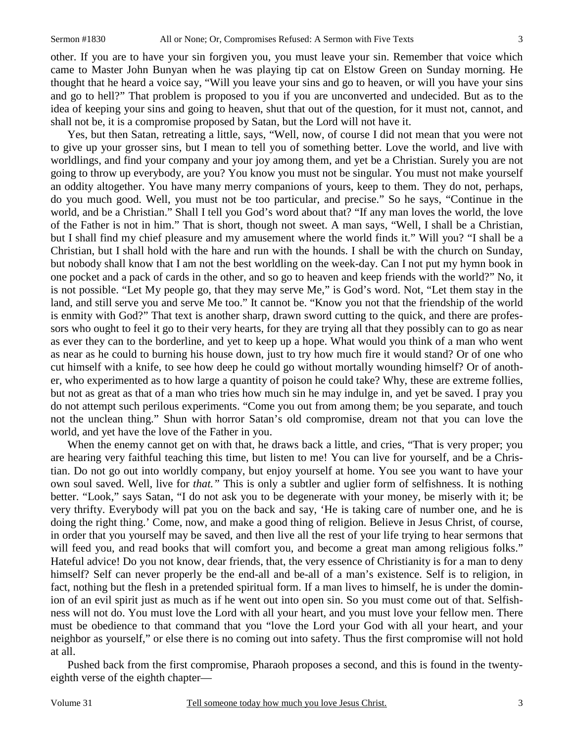other. If you are to have your sin forgiven you, you must leave your sin. Remember that voice which came to Master John Bunyan when he was playing tip cat on Elstow Green on Sunday morning. He thought that he heard a voice say, "Will you leave your sins and go to heaven, or will you have your sins and go to hell?" That problem is proposed to you if you are unconverted and undecided. But as to the idea of keeping your sins and going to heaven, shut that out of the question, for it must not, cannot, and shall not be, it is a compromise proposed by Satan, but the Lord will not have it.

 Yes, but then Satan, retreating a little, says, "Well, now, of course I did not mean that you were not to give up your grosser sins, but I mean to tell you of something better. Love the world, and live with worldlings, and find your company and your joy among them, and yet be a Christian. Surely you are not going to throw up everybody, are you? You know you must not be singular. You must not make yourself an oddity altogether. You have many merry companions of yours, keep to them. They do not, perhaps, do you much good. Well, you must not be too particular, and precise." So he says, "Continue in the world, and be a Christian." Shall I tell you God's word about that? "If any man loves the world, the love of the Father is not in him." That is short, though not sweet. A man says, "Well, I shall be a Christian, but I shall find my chief pleasure and my amusement where the world finds it." Will you? "I shall be a Christian, but I shall hold with the hare and run with the hounds. I shall be with the church on Sunday, but nobody shall know that I am not the best worldling on the week-day. Can I not put my hymn book in one pocket and a pack of cards in the other, and so go to heaven and keep friends with the world?" No, it is not possible. "Let My people go, that they may serve Me," is God's word. Not, "Let them stay in the land, and still serve you and serve Me too." It cannot be. "Know you not that the friendship of the world is enmity with God?" That text is another sharp, drawn sword cutting to the quick, and there are professors who ought to feel it go to their very hearts, for they are trying all that they possibly can to go as near as ever they can to the borderline, and yet to keep up a hope. What would you think of a man who went as near as he could to burning his house down, just to try how much fire it would stand? Or of one who cut himself with a knife, to see how deep he could go without mortally wounding himself? Or of another, who experimented as to how large a quantity of poison he could take? Why, these are extreme follies, but not as great as that of a man who tries how much sin he may indulge in, and yet be saved. I pray you do not attempt such perilous experiments. "Come you out from among them; be you separate, and touch not the unclean thing." Shun with horror Satan's old compromise, dream not that you can love the world, and yet have the love of the Father in you.

When the enemy cannot get on with that, he draws back a little, and cries, "That is very proper; you are hearing very faithful teaching this time, but listen to me! You can live for yourself, and be a Christian. Do not go out into worldly company, but enjoy yourself at home. You see you want to have your own soul saved. Well, live for *that."* This is only a subtler and uglier form of selfishness. It is nothing better. "Look," says Satan, "I do not ask you to be degenerate with your money, be miserly with it; be very thrifty. Everybody will pat you on the back and say, 'He is taking care of number one, and he is doing the right thing.' Come, now, and make a good thing of religion. Believe in Jesus Christ, of course, in order that you yourself may be saved, and then live all the rest of your life trying to hear sermons that will feed you, and read books that will comfort you, and become a great man among religious folks." Hateful advice! Do you not know, dear friends, that, the very essence of Christianity is for a man to deny himself? Self can never properly be the end-all and be-all of a man's existence. Self is to religion, in fact, nothing but the flesh in a pretended spiritual form. If a man lives to himself, he is under the dominion of an evil spirit just as much as if he went out into open sin. So you must come out of that. Selfishness will not do. You must love the Lord with all your heart, and you must love your fellow men. There must be obedience to that command that you "love the Lord your God with all your heart, and your neighbor as yourself," or else there is no coming out into safety. Thus the first compromise will not hold at all.

 Pushed back from the first compromise, Pharaoh proposes a second, and this is found in the twentyeighth verse of the eighth chapter—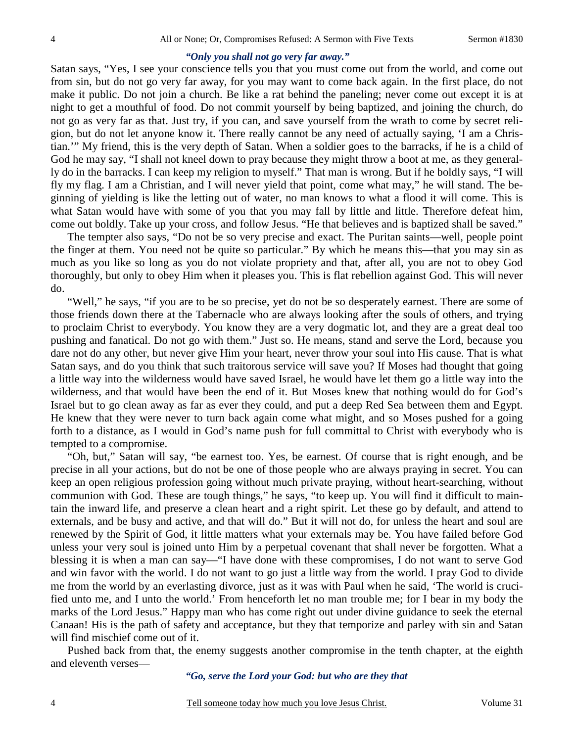### *"Only you shall not go very far away."*

Satan says, "Yes, I see your conscience tells you that you must come out from the world, and come out from sin, but do not go very far away, for you may want to come back again. In the first place, do not make it public. Do not join a church. Be like a rat behind the paneling; never come out except it is at night to get a mouthful of food. Do not commit yourself by being baptized, and joining the church, do not go as very far as that. Just try, if you can, and save yourself from the wrath to come by secret religion, but do not let anyone know it. There really cannot be any need of actually saying, 'I am a Christian.'" My friend, this is the very depth of Satan. When a soldier goes to the barracks, if he is a child of God he may say, "I shall not kneel down to pray because they might throw a boot at me, as they generally do in the barracks. I can keep my religion to myself." That man is wrong. But if he boldly says, "I will fly my flag. I am a Christian, and I will never yield that point, come what may," he will stand. The beginning of yielding is like the letting out of water, no man knows to what a flood it will come. This is what Satan would have with some of you that you may fall by little and little. Therefore defeat him, come out boldly. Take up your cross, and follow Jesus. "He that believes and is baptized shall be saved."

 The tempter also says, "Do not be so very precise and exact. The Puritan saints—well, people point the finger at them. You need not be quite so particular." By which he means this—that you may sin as much as you like so long as you do not violate propriety and that, after all, you are not to obey God thoroughly, but only to obey Him when it pleases you. This is flat rebellion against God. This will never do.

 "Well," he says, "if you are to be so precise, yet do not be so desperately earnest. There are some of those friends down there at the Tabernacle who are always looking after the souls of others, and trying to proclaim Christ to everybody. You know they are a very dogmatic lot, and they are a great deal too pushing and fanatical. Do not go with them." Just so. He means, stand and serve the Lord, because you dare not do any other, but never give Him your heart, never throw your soul into His cause. That is what Satan says, and do you think that such traitorous service will save you? If Moses had thought that going a little way into the wilderness would have saved Israel, he would have let them go a little way into the wilderness, and that would have been the end of it. But Moses knew that nothing would do for God's Israel but to go clean away as far as ever they could, and put a deep Red Sea between them and Egypt. He knew that they were never to turn back again come what might, and so Moses pushed for a going forth to a distance, as I would in God's name push for full committal to Christ with everybody who is tempted to a compromise.

 "Oh, but," Satan will say, "be earnest too. Yes, be earnest. Of course that is right enough, and be precise in all your actions, but do not be one of those people who are always praying in secret. You can keep an open religious profession going without much private praying, without heart-searching, without communion with God. These are tough things," he says, "to keep up. You will find it difficult to maintain the inward life, and preserve a clean heart and a right spirit. Let these go by default, and attend to externals, and be busy and active, and that will do." But it will not do, for unless the heart and soul are renewed by the Spirit of God, it little matters what your externals may be. You have failed before God unless your very soul is joined unto Him by a perpetual covenant that shall never be forgotten. What a blessing it is when a man can say—"I have done with these compromises, I do not want to serve God and win favor with the world. I do not want to go just a little way from the world. I pray God to divide me from the world by an everlasting divorce, just as it was with Paul when he said, 'The world is crucified unto me, and I unto the world.' From henceforth let no man trouble me; for I bear in my body the marks of the Lord Jesus." Happy man who has come right out under divine guidance to seek the eternal Canaan! His is the path of safety and acceptance, but they that temporize and parley with sin and Satan will find mischief come out of it.

 Pushed back from that, the enemy suggests another compromise in the tenth chapter, at the eighth and eleventh verses—

*"Go, serve the Lord your God: but who are they that*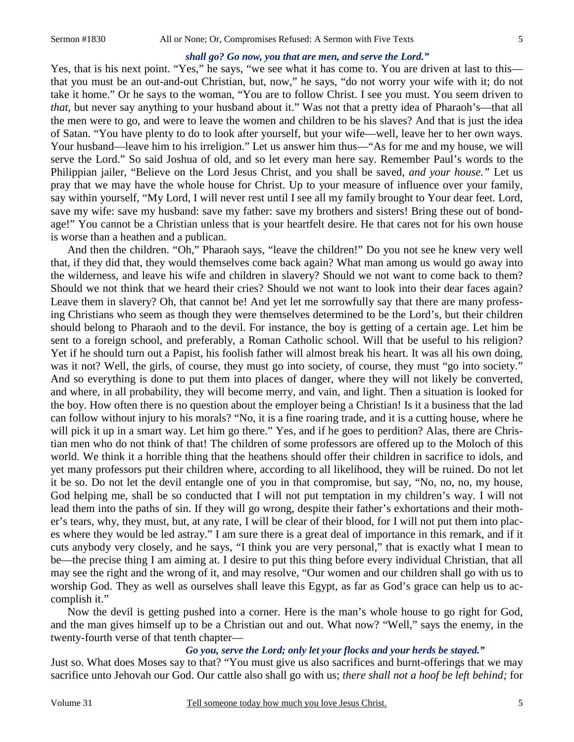#### *shall go? Go now, you that are men, and serve the Lord."*

Yes, that is his next point. "Yes," he says, "we see what it has come to. You are driven at last to this that you must be an out-and-out Christian, but, now," he says, "do not worry your wife with it; do not take it home." Or he says to the woman, "You are to follow Christ. I see you must. You seem driven to *that*, but never say anything to your husband about it." Was not that a pretty idea of Pharaoh's—that all the men were to go, and were to leave the women and children to be his slaves? And that is just the idea of Satan. "You have plenty to do to look after yourself, but your wife—well, leave her to her own ways. Your husband—leave him to his irreligion." Let us answer him thus—"As for me and my house, we will serve the Lord." So said Joshua of old, and so let every man here say. Remember Paul's words to the Philippian jailer, "Believe on the Lord Jesus Christ, and you shall be saved, *and your house."* Let us pray that we may have the whole house for Christ. Up to your measure of influence over your family, say within yourself, "My Lord, I will never rest until I see all my family brought to Your dear feet. Lord, save my wife: save my husband: save my father: save my brothers and sisters! Bring these out of bondage!" You cannot be a Christian unless that is your heartfelt desire. He that cares not for his own house is worse than a heathen and a publican.

 And then the children. "Oh," Pharaoh says, "leave the children!" Do you not see he knew very well that, if they did that, they would themselves come back again? What man among us would go away into the wilderness, and leave his wife and children in slavery? Should we not want to come back to them? Should we not think that we heard their cries? Should we not want to look into their dear faces again? Leave them in slavery? Oh, that cannot be! And yet let me sorrowfully say that there are many professing Christians who seem as though they were themselves determined to be the Lord's, but their children should belong to Pharaoh and to the devil. For instance, the boy is getting of a certain age. Let him be sent to a foreign school, and preferably, a Roman Catholic school. Will that be useful to his religion? Yet if he should turn out a Papist, his foolish father will almost break his heart. It was all his own doing, was it not? Well, the girls, of course, they must go into society, of course, they must "go into society." And so everything is done to put them into places of danger, where they will not likely be converted, and where, in all probability, they will become merry, and vain, and light. Then a situation is looked for the boy. How often there is no question about the employer being a Christian! Is it a business that the lad can follow without injury to his morals? "No, it is a fine roaring trade, and it is a cutting house, where he will pick it up in a smart way. Let him go there." Yes, and if he goes to perdition? Alas, there are Christian men who do not think of that! The children of some professors are offered up to the Moloch of this world. We think it a horrible thing that the heathens should offer their children in sacrifice to idols, and yet many professors put their children where, according to all likelihood, they will be ruined. Do not let it be so. Do not let the devil entangle one of you in that compromise, but say, "No, no, no, my house, God helping me, shall be so conducted that I will not put temptation in my children's way. I will not lead them into the paths of sin. If they will go wrong, despite their father's exhortations and their mother's tears, why, they must, but, at any rate, I will be clear of their blood, for I will not put them into places where they would be led astray." I am sure there is a great deal of importance in this remark, and if it cuts anybody very closely, and he says, "I think you are very personal," that is exactly what I mean to be—the precise thing I am aiming at. I desire to put this thing before every individual Christian, that all may see the right and the wrong of it, and may resolve, "Our women and our children shall go with us to worship God. They as well as ourselves shall leave this Egypt, as far as God's grace can help us to accomplish it."

 Now the devil is getting pushed into a corner. Here is the man's whole house to go right for God, and the man gives himself up to be a Christian out and out. What now? "Well," says the enemy, in the twenty-fourth verse of that tenth chapter—

### *Go you, serve the Lord; only let your flocks and your herds be stayed."*

Just so. What does Moses say to that? "You must give us also sacrifices and burnt-offerings that we may sacrifice unto Jehovah our God. Our cattle also shall go with us; *there shall not a hoof be left behind;* for